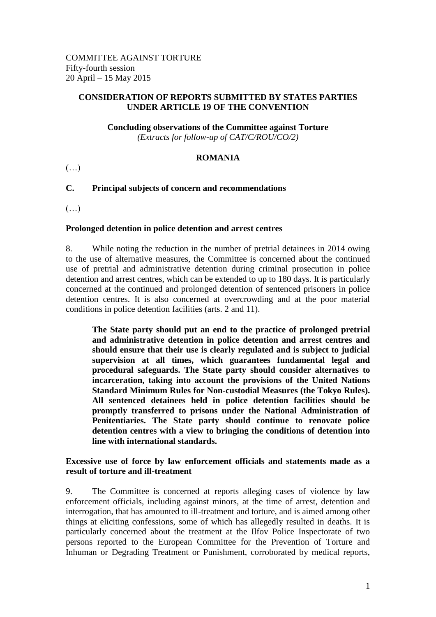#### **CONSIDERATION OF REPORTS SUBMITTED BY STATES PARTIES UNDER ARTICLE 19 OF THE CONVENTION**

# **Concluding observations of the Committee against Torture**

*(Extracts for follow-up of CAT/C/ROU/CO/2)*

### **ROMANIA**

 $(\ldots)$ 

## **C. Principal subjects of concern and recommendations**

(…)

#### **Prolonged detention in police detention and arrest centres**

8. While noting the reduction in the number of pretrial detainees in 2014 owing to the use of alternative measures, the Committee is concerned about the continued use of pretrial and administrative detention during criminal prosecution in police detention and arrest centres, which can be extended to up to 180 days. It is particularly concerned at the continued and prolonged detention of sentenced prisoners in police detention centres. It is also concerned at overcrowding and at the poor material conditions in police detention facilities (arts. 2 and 11).

**The State party should put an end to the practice of prolonged pretrial and administrative detention in police detention and arrest centres and should ensure that their use is clearly regulated and is subject to judicial supervision at all times, which guarantees fundamental legal and procedural safeguards. The State party should consider alternatives to incarceration, taking into account the provisions of the United Nations Standard Minimum Rules for Non-custodial Measures (the Tokyo Rules). All sentenced detainees held in police detention facilities should be promptly transferred to prisons under the National Administration of Penitentiaries. The State party should continue to renovate police detention centres with a view to bringing the conditions of detention into line with international standards.**

#### **Excessive use of force by law enforcement officials and statements made as a result of torture and ill-treatment**

9. The Committee is concerned at reports alleging cases of violence by law enforcement officials, including against minors, at the time of arrest, detention and interrogation, that has amounted to ill-treatment and torture, and is aimed among other things at eliciting confessions, some of which has allegedly resulted in deaths. It is particularly concerned about the treatment at the Ilfov Police Inspectorate of two persons reported to the European Committee for the Prevention of Torture and Inhuman or Degrading Treatment or Punishment, corroborated by medical reports,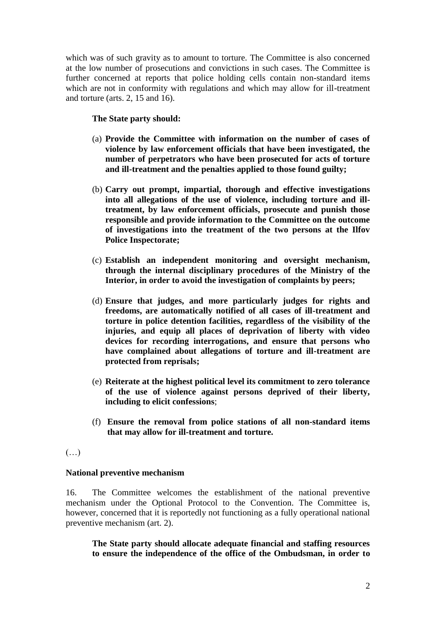which was of such gravity as to amount to torture. The Committee is also concerned at the low number of prosecutions and convictions in such cases. The Committee is further concerned at reports that police holding cells contain non-standard items which are not in conformity with regulations and which may allow for ill-treatment and torture (arts. 2, 15 and 16).

#### **The State party should:**

- (a) **Provide the Committee with information on the number of cases of violence by law enforcement officials that have been investigated, the number of perpetrators who have been prosecuted for acts of torture and ill-treatment and the penalties applied to those found guilty;**
- (b) **Carry out prompt, impartial, thorough and effective investigations into all allegations of the use of violence, including torture and illtreatment, by law enforcement officials, prosecute and punish those responsible and provide information to the Committee on the outcome of investigations into the treatment of the two persons at the Ilfov Police Inspectorate;**
- (c) **Establish an independent monitoring and oversight mechanism, through the internal disciplinary procedures of the Ministry of the Interior, in order to avoid the investigation of complaints by peers;**
- (d) **Ensure that judges, and more particularly judges for rights and freedoms, are automatically notified of all cases of ill-treatment and torture in police detention facilities, regardless of the visibility of the injuries, and equip all places of deprivation of liberty with video devices for recording interrogations, and ensure that persons who have complained about allegations of torture and ill-treatment are protected from reprisals;**
- (e) **Reiterate at the highest political level its commitment to zero tolerance of the use of violence against persons deprived of their liberty, including to elicit confessions**;
- (f) **Ensure the removal from police stations of all non-standard items that may allow for ill-treatment and torture.**
- (…)

#### **National preventive mechanism**

16. The Committee welcomes the establishment of the national preventive mechanism under the Optional Protocol to the Convention. The Committee is, however, concerned that it is reportedly not functioning as a fully operational national preventive mechanism (art. 2).

**The State party should allocate adequate financial and staffing resources to ensure the independence of the office of the Ombudsman, in order to**